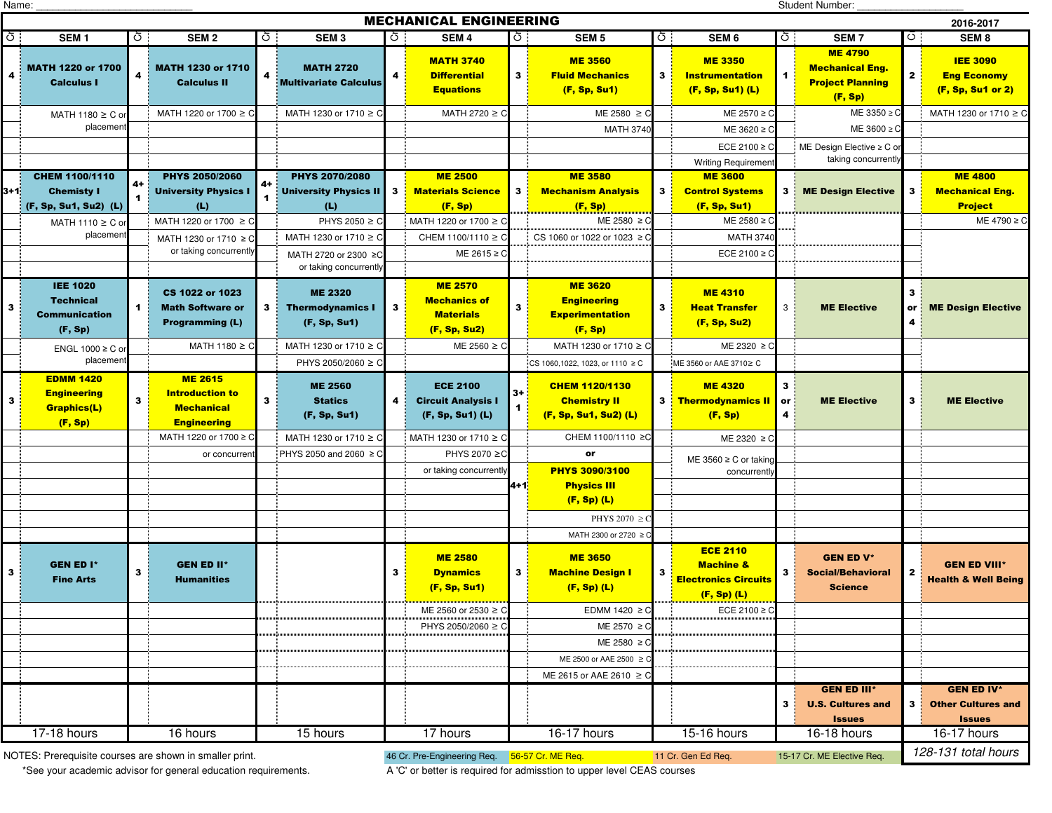Name:

**Student Number:** 

| Name:<br>Student Number:                                |                                                                         |              |                                                                                     |              |                                                              |                                               |                                                                           |              |                                                                                   |    |                                                                                         |                         |                                                                                |              |                                                                 |
|---------------------------------------------------------|-------------------------------------------------------------------------|--------------|-------------------------------------------------------------------------------------|--------------|--------------------------------------------------------------|-----------------------------------------------|---------------------------------------------------------------------------|--------------|-----------------------------------------------------------------------------------|----|-----------------------------------------------------------------------------------------|-------------------------|--------------------------------------------------------------------------------|--------------|-----------------------------------------------------------------|
|                                                         |                                                                         |              |                                                                                     |              |                                                              |                                               | <b>MECHANICAL ENGINEERING</b>                                             |              |                                                                                   |    |                                                                                         |                         |                                                                                |              | 2016-2017                                                       |
| Ō                                                       | SEM <sub>1</sub>                                                        | Ò            | SEM <sub>2</sub>                                                                    | Ō            | SEM <sub>3</sub>                                             | Ò                                             | SEM <sub>4</sub>                                                          | ੇ ਹ          | SEM <sub>5</sub>                                                                  | ò. | SEM <sub>6</sub>                                                                        | ้ ō                     | SEM <sub>7</sub>                                                               | Ō            | SEM <sub>8</sub>                                                |
| 4                                                       | <b>MATH 1220 or 1700</b><br><b>Calculus I</b>                           | 4            | <b>MATH 1230 or 1710</b><br><b>Calculus II</b>                                      | 4            | <b>MATH 2720</b><br><b>Multivariate Calculus</b>             | 4                                             | <b>MATH 3740</b><br><b>Differential</b><br><b>Equations</b>               | 3            | <b>ME 3560</b><br><b>Fluid Mechanics</b><br>(F, Sp, Su1)                          | 3  | <b>ME 3350</b><br><b>Instrumentation</b><br>$(F, Sp, Su1)$ (L)                          | $\blacktriangleleft$    | <b>ME 4790</b><br><b>Mechanical Eng.</b><br><b>Project Planning</b><br>(F, Sp) | $\mathbf{2}$ | <b>IEE 3090</b><br><b>Eng Economy</b><br>$(F, Sp, Su1$ or 2)    |
|                                                         | MATH 1180 $\geq$ C or                                                   |              | MATH 1220 or 1700 ≥ C                                                               |              | MATH 1230 or 1710 ≥ C                                        |                                               | MATH 2720 ≥ C                                                             |              | ME 2580 $\geq$ C                                                                  |    | ME 2570 ≥ C                                                                             |                         | ME 3350 ≥ C                                                                    |              | MATH 1230 or 1710 ≥ C                                           |
|                                                         | placemen                                                                |              |                                                                                     |              |                                                              |                                               |                                                                           |              | <b>MATH 3740</b>                                                                  |    | ME 3620 ≥ C                                                                             |                         | ME 3600 $\geq$ C                                                               |              |                                                                 |
|                                                         |                                                                         |              |                                                                                     |              |                                                              |                                               |                                                                           |              |                                                                                   |    | ECE 2100 $\geq$ C                                                                       |                         | ME Design Elective ≥ C or                                                      |              |                                                                 |
|                                                         |                                                                         |              |                                                                                     |              |                                                              |                                               |                                                                           |              |                                                                                   |    | <b>Writing Requirement</b>                                                              |                         | taking concurrently                                                            |              |                                                                 |
| 3+1                                                     | CHEM 1100/1110<br><b>Chemisty I</b><br>(F, Sp, Su1, Su2) (L)            | 4+<br>1      | <b>PHYS 2050/2060</b><br><b>University Physics I</b><br>(L)                         | 4+           | <b>PHYS 2070/2080</b><br><b>University Physics II</b><br>(L) | 3                                             | <b>ME 2500</b><br><b>Materials Science</b><br>(F, Sp)                     | 3            | <b>ME 3580</b><br><b>Mechanism Analysis</b><br>(F, Sp)                            | 3  | <b>ME 3600</b><br><b>Control Systems</b><br>(F, Sp, Su1)                                | $\mathbf{3}$            | <b>ME Design Elective</b>                                                      | 3            | <b>ME 4800</b><br><b>Mechanical Eng.</b><br><b>Project</b>      |
|                                                         | MATH 1110 ≥ C or                                                        |              | MATH 1220 or 1700 ≥ C                                                               |              | PHYS 2050 ≥ C                                                |                                               | MATH 1220 or 1700 ≥ C                                                     |              | ME 2580 $\geq$ C                                                                  |    | ME 2580 ≥ C                                                                             |                         |                                                                                |              | ME 4790 ≥ C                                                     |
|                                                         | placemen                                                                |              | MATH 1230 or 1710 ≥ C                                                               |              | MATH 1230 or 1710 ≥ C                                        |                                               | CHEM 1100/1110 ≥ C                                                        |              | CS 1060 or 1022 or 1023 ≥ 0                                                       |    | <b>MATH 3740</b>                                                                        |                         |                                                                                |              |                                                                 |
|                                                         |                                                                         |              | or taking concurrently                                                              |              | MATH 2720 or 2300 ≥C<br>or taking concurrently               |                                               | ME 2615 ≥ C                                                               |              |                                                                                   |    | ECE 2100 $\geq$ C                                                                       |                         |                                                                                |              |                                                                 |
| $\mathbf{3}$                                            | <b>IEE 1020</b><br><b>Technical</b><br><b>Communication</b><br>(F, Sp)  | 1.           | CS 1022 or 1023<br><b>Math Software or</b><br><b>Programming (L)</b>                | 3            | <b>ME 2320</b><br><b>Thermodynamics I</b><br>(F, Sp, Su1)    | 3                                             | <b>ME 2570</b><br><b>Mechanics of</b><br><b>Materials</b><br>(F, Sp, Su2) | $\mathbf{3}$ | <b>ME 3620</b><br><b>Engineering</b><br><b>Experimentation</b><br>(F, Sp)         | 3  | <b>ME4310</b><br><b>Heat Transfer</b><br>(F, Sp, Su2)                                   | 3                       | <b>ME Elective</b>                                                             | 3<br>or<br>4 | <b>ME Design Elective</b>                                       |
|                                                         | ENGL 1000 $\geq$ C or                                                   |              | MATH 1180 $\geq$ C                                                                  |              | MATH 1230 or 1710 ≥ C                                        |                                               | ME 2560 $\geq$ C                                                          |              | MATH 1230 or 1710 ≥ C                                                             |    | ME 2320 ≥ C                                                                             |                         |                                                                                |              |                                                                 |
|                                                         | placemen                                                                |              |                                                                                     |              | PHYS 2050/2060 ≥ C                                           |                                               |                                                                           |              | CS 1060,1022, 1023, or 1110 ≥ C                                                   |    | ME 3560 or AAE 3710≥ C                                                                  |                         |                                                                                |              |                                                                 |
| $\mathbf{3}$                                            | <b>EDMM 1420</b><br><b>Engineering</b><br><b>Graphics(L)</b><br>(F, Sp) | $\mathbf{3}$ | <b>ME 2615</b><br><b>Introduction to</b><br><b>Mechanical</b><br><b>Engineering</b> | $\mathbf{3}$ | <b>ME 2560</b><br><b>Statics</b><br>(F, Sp, Su1)             | $\overline{4}$                                | <b>ECE 2100</b><br><b>Circuit Analysis I</b><br>(F, Sp, Su1) (L)          | $3+$         | <b>CHEM 1120/1130</b><br><b>Chemistry II</b><br>(F, Sp, Su1, Su2) (L)             |    | <b>ME 4320</b><br>3 Thermodynamics II<br>(F, Sp)                                        | $\mathbf{3}$<br>or<br>4 | <b>ME Elective</b>                                                             | 3            | <b>ME Elective</b>                                              |
|                                                         |                                                                         |              | MATH 1220 or 1700 ≥ C                                                               |              | MATH 1230 or 1710 ≥ C                                        |                                               | MATH 1230 or 1710 ≥ C                                                     |              | CHEM 1100/1110 ≥C                                                                 |    | ME 2320 ≥ C                                                                             |                         |                                                                                |              |                                                                 |
|                                                         |                                                                         |              | or concurren                                                                        |              | PHYS 2050 and 2060 ≥ C                                       |                                               | PHYS 2070 ≥C                                                              |              | or                                                                                |    | ME 3560 $\geq$ C or taking                                                              |                         |                                                                                |              |                                                                 |
|                                                         |                                                                         |              |                                                                                     |              |                                                              |                                               | or taking concurrently                                                    |              | <b>PHYS 3090/3100</b>                                                             |    | concurrently                                                                            |                         |                                                                                |              |                                                                 |
|                                                         |                                                                         |              |                                                                                     |              |                                                              |                                               |                                                                           | 4+1          | <b>Physics III</b>                                                                |    |                                                                                         |                         |                                                                                |              |                                                                 |
|                                                         |                                                                         |              |                                                                                     |              |                                                              |                                               |                                                                           |              | $(F, Sp)$ (L)                                                                     |    |                                                                                         |                         |                                                                                |              |                                                                 |
|                                                         |                                                                         |              |                                                                                     |              |                                                              |                                               |                                                                           |              | PHYS 2070 $\geq$ C                                                                |    |                                                                                         |                         |                                                                                |              |                                                                 |
| 3                                                       | <b>GEN ED I*</b><br><b>Fine Arts</b>                                    | 3            | <b>GEN ED II*</b><br><b>Humanities</b>                                              |              |                                                              | 3                                             | <b>ME 2580</b><br><b>Dynamics</b><br>(F, Sp, Su1)                         | 3            | MATH 2300 or 2720 ≥<br><b>ME 3650</b><br><b>Machine Design I</b><br>$(F, Sp)$ (L) | 3  | <b>ECE 2110</b><br><b>Machine &amp;</b><br><b>Electronics Circuits</b><br>$(F, Sp)$ (L) | 3                       | <b>GEN ED V*</b><br><b>Social/Behavioral</b><br><b>Science</b>                 | $\mathbf{2}$ | <b>GEN ED VIII*</b><br><b>Health &amp; Well Being</b>           |
|                                                         |                                                                         |              |                                                                                     |              |                                                              |                                               | ME 2560 or 2530 ≥ C                                                       |              | EDMM 1420 $\geq$ C<br>$ME 2570 \ge C$                                             |    | ECE 2100 $\geq$ C                                                                       |                         |                                                                                |              |                                                                 |
|                                                         |                                                                         |              |                                                                                     |              |                                                              |                                               | PHYS 2050/2060 ≥ 0                                                        |              | ME 2580 ≥ C                                                                       |    |                                                                                         |                         |                                                                                |              |                                                                 |
|                                                         |                                                                         |              |                                                                                     |              |                                                              |                                               |                                                                           |              | ME 2500 or AAE 2500 ≥ C                                                           |    |                                                                                         |                         |                                                                                |              |                                                                 |
|                                                         |                                                                         |              |                                                                                     |              |                                                              |                                               |                                                                           |              | ME 2615 or AAE 2610 ≥ C                                                           |    |                                                                                         |                         |                                                                                |              |                                                                 |
|                                                         |                                                                         |              |                                                                                     |              |                                                              |                                               |                                                                           |              |                                                                                   |    |                                                                                         | 3                       | <b>GEN ED III*</b><br><b>U.S. Cultures and</b><br><b>Issues</b>                | 3            | <b>GEN ED IV*</b><br><b>Other Cultures and</b><br><b>Issues</b> |
|                                                         | 17-18 hours                                                             |              | 16 hours                                                                            |              | 15 hours                                                     |                                               | 17 hours                                                                  |              | 16-17 hours                                                                       |    | 15-16 hours                                                                             |                         | 16-18 hours                                                                    |              | 16-17 hours                                                     |
| NOTES: Prerequisite courses are shown in smaller print. |                                                                         |              |                                                                                     |              |                                                              | 46 Cr. Pre-Engineering Req. 56-57 Cr. ME Req. |                                                                           |              | 15-17 Cr. ME Elective Req.<br>11 Cr. Gen Ed Req.                                  |    |                                                                                         |                         | 128-131 total hours                                                            |              |                                                                 |

\*See your academic advisor for general education requirements. A 'C' or better is required for admisstion to upper level CEAS courses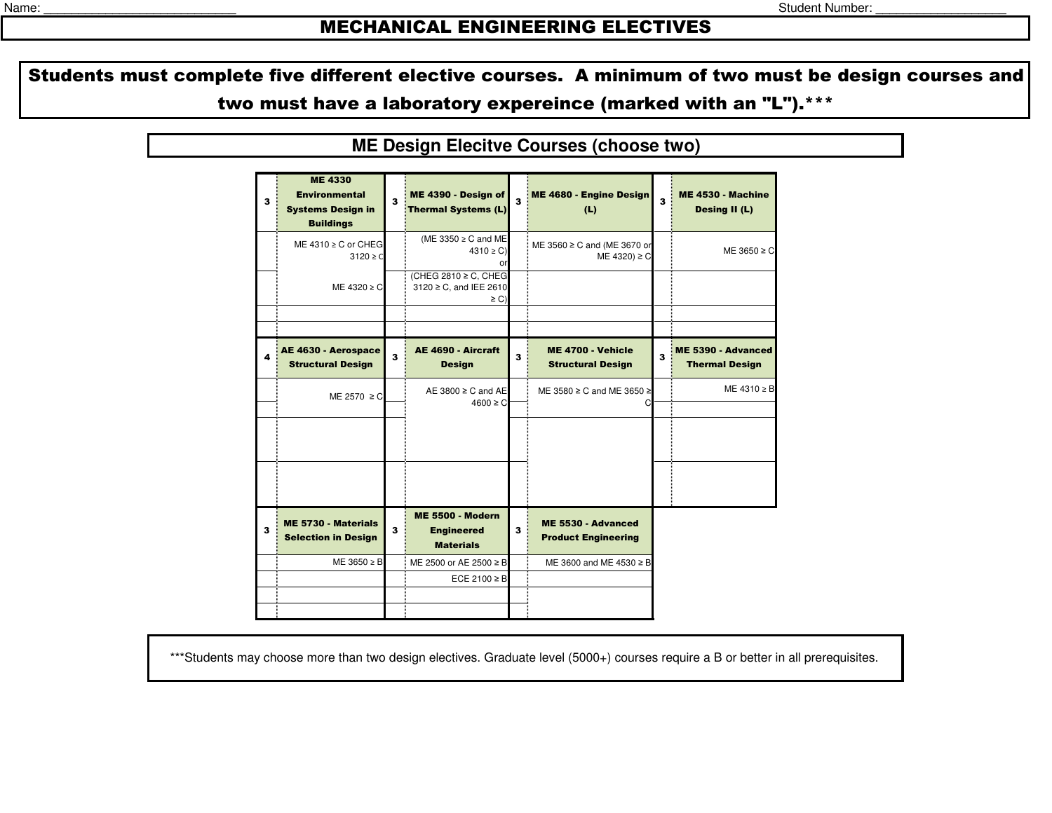## MECHANICAL ENGINEERING ELECTIVES

Students must complete five different elective courses. A minimum of two must be design courses and two must have a laboratory expereince (marked with an "L").\*\*\*

| 3                | <b>ME 4330</b><br><b>Environmental</b><br><b>Systems Design in</b><br><b>Buildings</b> | 3                       | ME 4390 - Design of<br><b>Thermal Systems (L)</b>                |   | ME 4680 - Engine Design<br>(L)                   | 3 | ME 4530 - Machine<br>Desing II (L)          |
|------------------|----------------------------------------------------------------------------------------|-------------------------|------------------------------------------------------------------|---|--------------------------------------------------|---|---------------------------------------------|
|                  | ME $4310 \ge C$ or CHEG<br>$3120 \ge C$                                                |                         | (ME 3350 $\geq$ C and ME<br>$4310 \ge C$ )<br>or                 |   | ME 3560 ≥ C and (ME 3670 or<br>$ME 4320 \ge C$   |   | ME 3650 $\geq$ C                            |
|                  | ME 4320 ≥ C                                                                            |                         | (CHEG 2810 ≥ C, CHEG<br>3120 ≥ C, and IEE 2610<br>$\geq$ C)      |   |                                                  |   |                                             |
|                  |                                                                                        |                         |                                                                  |   |                                                  |   |                                             |
|                  |                                                                                        |                         |                                                                  |   |                                                  |   |                                             |
| 4                | AE 4630 - Aerospace<br><b>Structural Design</b>                                        | $\overline{\mathbf{3}}$ | AE 4690 - Aircraft<br><b>Design</b>                              | 3 | ME 4700 - Vehicle<br><b>Structural Design</b>    | 3 | ME 5390 - Advanced<br><b>Thermal Design</b> |
|                  | ME 2570 ≥ C                                                                            |                         | AE 3800 $\geq$ C and AE<br>$4600 \ge C$                          |   | ME 3580 ≥ C and ME 3650 ≥<br>C                   |   | ME 4310 ≥ B                                 |
| <b>DOMESTICS</b> |                                                                                        |                         |                                                                  |   |                                                  |   |                                             |
|                  |                                                                                        |                         |                                                                  |   |                                                  |   |                                             |
| 3                | ME 5730 - Materials<br><b>Selection in Design</b>                                      | 3                       | <b>ME 5500 - Modern</b><br><b>Engineered</b><br><b>Materials</b> | 3 | ME 5530 - Advanced<br><b>Product Engineering</b> |   |                                             |
|                  | ME 3650 $\geq$ B                                                                       |                         | ME 2500 or AE 2500 ≥ B                                           |   | ME 3600 and ME 4530 ≥ B                          |   |                                             |
|                  |                                                                                        |                         | ECE 2100 $\geq$ B                                                |   |                                                  |   |                                             |
|                  |                                                                                        |                         |                                                                  |   |                                                  |   |                                             |
|                  |                                                                                        |                         |                                                                  |   |                                                  |   |                                             |

**ME Design Elecitve Courses (choose two)**

\*\*\*Students may choose more than two design electives. Graduate level (5000+) courses require a B or better in all prerequisites.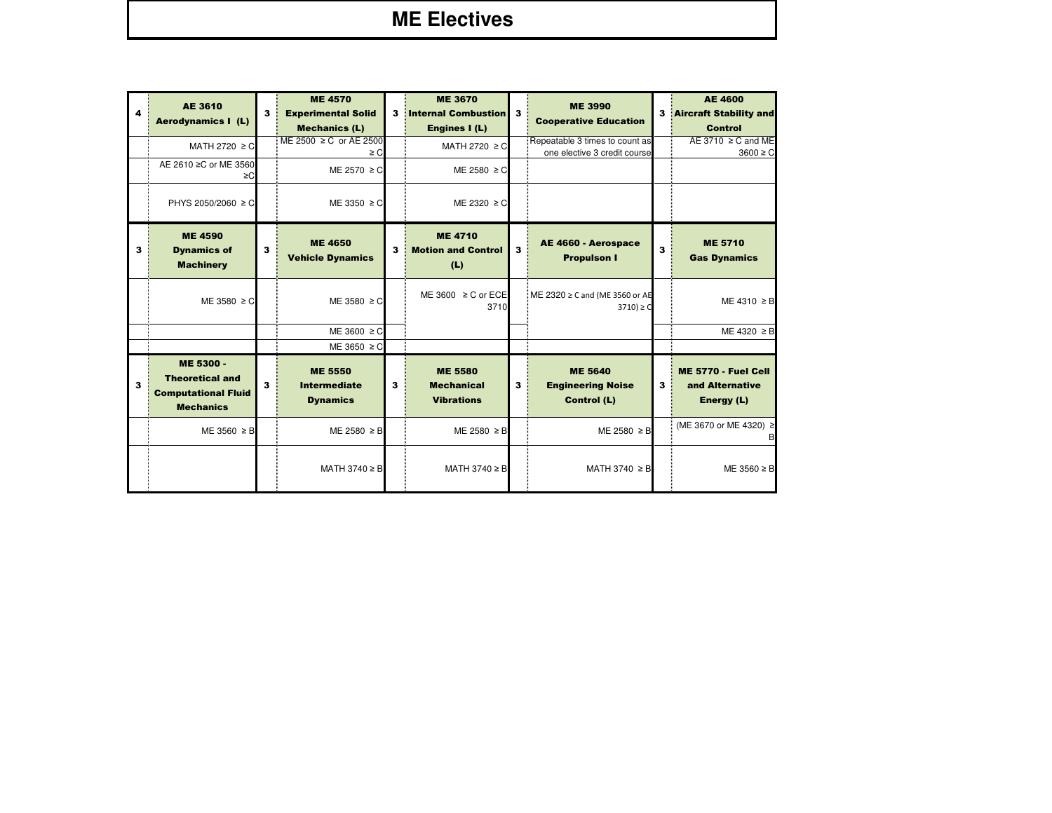## **ME Electives**

| 4                       | <b>AE 3610</b><br><b>Aerodynamics I (L)</b>                                           | 3 | <b>ME 4570</b><br><b>Experimental Solid</b><br><b>Mechanics (L)</b> |   | <b>ME 3670</b><br><b>3</b> Internal Combustion<br>Engines I (L) | $\mathbf{3}$ | <b>ME 3990</b><br><b>Cooperative Education</b>                 |   | <b>AE 4600</b><br><b>3</b> Aircraft Stability and<br><b>Control</b> |
|-------------------------|---------------------------------------------------------------------------------------|---|---------------------------------------------------------------------|---|-----------------------------------------------------------------|--------------|----------------------------------------------------------------|---|---------------------------------------------------------------------|
|                         | MATH 2720 $\geq$ C                                                                    |   | ME 2500 ≥ C or AE 2500<br>$\geq$ C                                  |   | MATH 2720 $\geq$ C                                              |              | Repeatable 3 times to count as<br>one elective 3 credit course |   | AE 3710 $\geq$ C and ME<br>$3600 \ge C$                             |
|                         | AE 2610 ≥C or ME 3560<br>≥C                                                           |   | ME 2570 $\geq$ C                                                    |   | ME 2580 $\geq$ C                                                |              |                                                                |   |                                                                     |
|                         | PHYS 2050/2060 ≥ C                                                                    |   | ME 3350 $\geq$ C                                                    |   | ME 2320 ≥ C                                                     |              |                                                                |   |                                                                     |
| з                       | <b>ME 4590</b><br><b>Dynamics of</b><br><b>Machinery</b>                              |   | <b>ME 4650</b><br><b>Vehicle Dynamics</b>                           |   | <b>ME 4710</b><br>3<br><b>Motion and Control</b><br>(L)         | 3            | AE 4660 - Aerospace<br><b>Propulson I</b>                      | 3 | <b>ME 5710</b><br><b>Gas Dynamics</b>                               |
|                         | $ME 3580 \geq C$                                                                      |   | ME 3580 $\geq$ C                                                    |   | ME 3600 $\geq$ C or ECE<br>3710                                 |              | ME 2320 ≥ C and (ME 3560 or AE<br>$3710$ ) $\geq$ C            |   | $ME 4310 \geq B$                                                    |
|                         |                                                                                       |   | ME 3600 $\geq$ C                                                    |   |                                                                 |              |                                                                |   | ME 4320 $\geq$ B                                                    |
|                         |                                                                                       |   | ME 3650 $\geq$ C                                                    |   |                                                                 |              |                                                                |   |                                                                     |
| $\overline{\mathbf{3}}$ | ME 5300 -<br><b>Theoretical and</b><br><b>Computational Fluid</b><br><b>Mechanics</b> | 3 | <b>ME 5550</b><br><b>Intermediate</b><br><b>Dynamics</b>            | 3 | <b>ME 5580</b><br><b>Mechanical</b><br><b>Vibrations</b>        | 3            | <b>ME 5640</b><br><b>Engineering Noise</b><br>Control (L)      | 3 | ME 5770 - Fuel Cell<br>and Alternative<br>Energy (L)                |
|                         | $ME 3560 \geq B$                                                                      |   | $ME 2580 \geq B$                                                    |   | $ME 2580 \geq B$                                                |              | ME 2580 $\geq$ B                                               |   | (ME 3670 or ME 4320) ≥<br>B                                         |
|                         |                                                                                       |   | MATH 3740 ≥ B                                                       |   | MATH 3740 ≥ B                                                   |              | MATH 3740 $\geq$ B                                             |   | ME 3560 $\geq$ B                                                    |